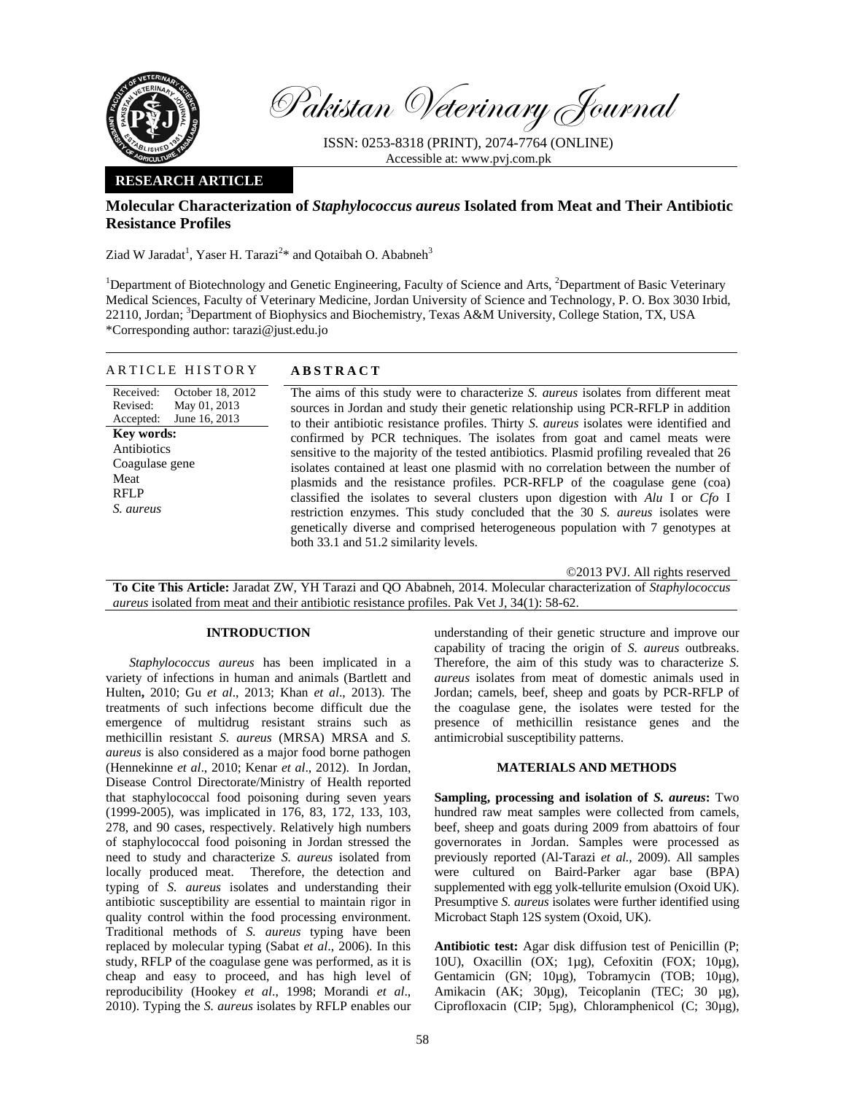

Pakistan Veterinary Journal

ISSN: 0253-8318 (PRINT), 2074-7764 (ONLINE) Accessible at: www.pvj.com.pk

### **RESEARCH ARTICLE**

## **Molecular Characterization of** *Staphylococcus aureus* **Isolated from Meat and Their Antibiotic Resistance Profiles**

Ziad W Jaradat<sup>1</sup>, Yaser H. Tarazi<sup>2\*</sup> and Qotaibah O. Ababneh<sup>3</sup>

<sup>1</sup>Department of Biotechnology and Genetic Engineering, Faculty of Science and Arts, <sup>2</sup>Department of Basic Veterinary Medical Sciences, Faculty of Veterinary Medicine, Jordan University of Science and Technology, P. O. Box 3030 Irbid, 22110, Jordan; <sup>3</sup>Department of Biophysics and Biochemistry, Texas A&M University, College Station, TX, USA \*Corresponding author: tarazi@just.edu.jo

|  |  | ARTICLE HISTORY | A B |
|--|--|-----------------|-----|
|--|--|-----------------|-----|

Received: Revised: Accepted: October 18, 2012 May 01, 2013 June 16, 2013 **Key words:**  Antibiotics Coagulase gene Meat RFLP *S. aureus* 

# **STRACT**

 The aims of this study were to characterize *S. aureus* isolates from different meat sources in Jordan and study their genetic relationship using PCR-RFLP in addition to their antibiotic resistance profiles. Thirty *S. aureus* isolates were identified and confirmed by PCR techniques. The isolates from goat and camel meats were sensitive to the majority of the tested antibiotics. Plasmid profiling revealed that 26 isolates contained at least one plasmid with no correlation between the number of plasmids and the resistance profiles. PCR-RFLP of the coagulase gene (coa) classified the isolates to several clusters upon digestion with *Alu* I or *Cfo* I restriction enzymes. This study concluded that the 30 *S. aureus* isolates were genetically diverse and comprised heterogeneous population with 7 genotypes at both 33.1 and 51.2 similarity levels.

©2013 PVJ. All rights reserved

**To Cite This Article:** Jaradat ZW, YH Tarazi and QO Ababneh, 2014. Molecular characterization of *Staphylococcus aureus* isolated from meat and their antibiotic resistance profiles. Pak Vet J, 34(1): 58-62.

### **INTRODUCTION**

*Staphylococcus aureus* has been implicated in a variety of infections in human and animals (Bartlett and Hulten**,** 2010; Gu *et al*., 2013; Khan *et al*., 2013). The treatments of such infections become difficult due the emergence of multidrug resistant strains such as methicillin resistant *S. aureus* (MRSA) MRSA and *S. aureus* is also considered as a major food borne pathogen (Hennekinne *et al*., 2010; Kenar *et al*., 2012). In Jordan, Disease Control Directorate/Ministry of Health reported that staphylococcal food poisoning during seven years (1999-2005), was implicated in 176, 83, 172, 133, 103, 278, and 90 cases, respectively. Relatively high numbers of staphylococcal food poisoning in Jordan stressed the need to study and characterize *S. aureus* isolated from locally produced meat. Therefore, the detection and typing of *S. aureus* isolates and understanding their antibiotic susceptibility are essential to maintain rigor in quality control within the food processing environment. Traditional methods of *S. aureus* typing have been replaced by molecular typing (Sabat *et al*., 2006). In this study, RFLP of the coagulase gene was performed, as it is cheap and easy to proceed, and has high level of reproducibility (Hookey *et al*., 1998; Morandi *et al*., 2010). Typing the *S. aureus* isolates by RFLP enables our

understanding of their genetic structure and improve our capability of tracing the origin of *S. aureus* outbreaks. Therefore, the aim of this study was to characterize *S. aureus* isolates from meat of domestic animals used in Jordan; camels, beef, sheep and goats by PCR-RFLP of the coagulase gene, the isolates were tested for the presence of methicillin resistance genes and the antimicrobial susceptibility patterns.

## **MATERIALS AND METHODS**

**Sampling, processing and isolation of** *S. aureus***:** Two hundred raw meat samples were collected from camels, beef, sheep and goats during 2009 from abattoirs of four governorates in Jordan. Samples were processed as previously reported (Al-Tarazi *et al.,* 2009). All samples were cultured on Baird-Parker agar base (BPA) supplemented with egg yolk-tellurite emulsion (Oxoid UK). Presumptive *S. aureus* isolates were further identified using Microbact Staph 12S system (Oxoid, UK).

**Antibiotic test:** Agar disk diffusion test of Penicillin (P; 10U), Oxacillin (OX; 1µg), Cefoxitin (FOX; 10µg), Gentamicin (GN; 10µg), Tobramycin (TOB; 10µg), Amikacin (AK; 30µg), Teicoplanin (TEC; 30 µg), Ciprofloxacin (CIP; 5µg), Chloramphenicol (C; 30µg),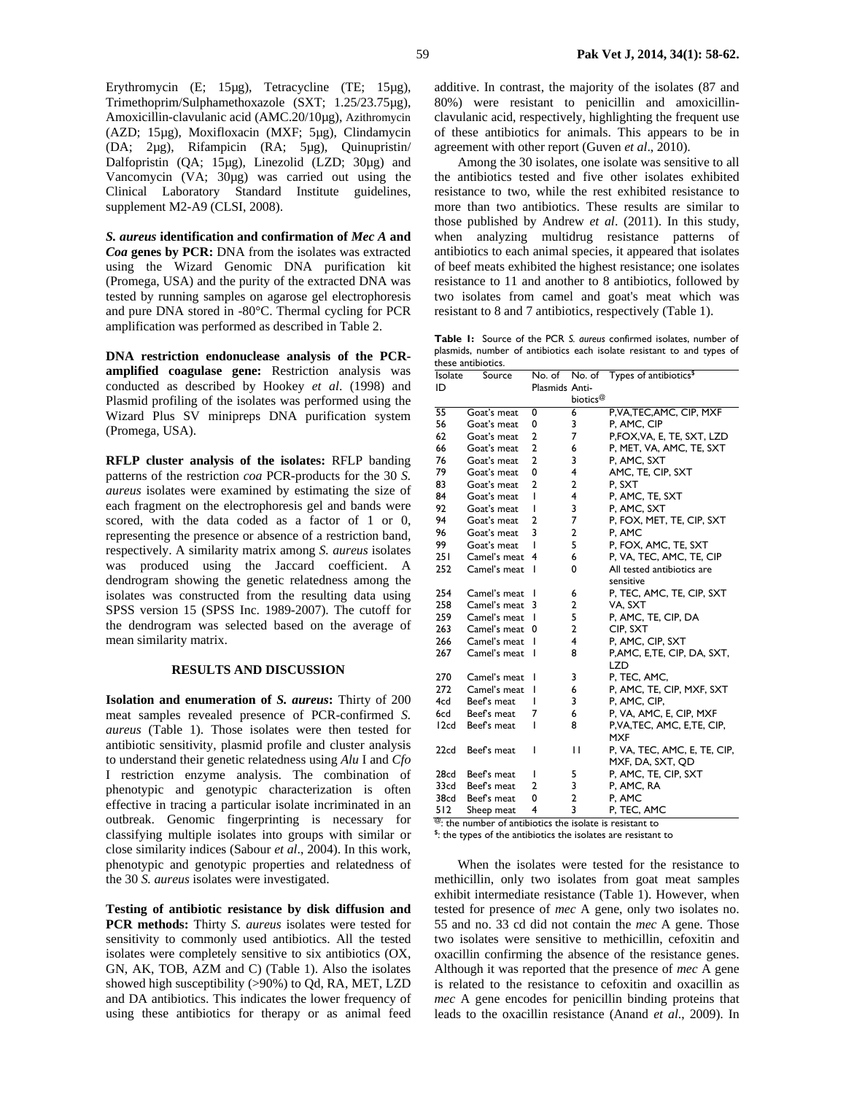*S. aureus* **identification and confirmation of** *Mec A* **and**  *Coa* **genes by PCR:** DNA from the isolates was extracted using the Wizard Genomic DNA purification kit (Promega, USA) and the purity of the extracted DNA was tested by running samples on agarose gel electrophoresis and pure DNA stored in -80°C. Thermal cycling for PCR amplification was performed as described in Table 2.

**DNA restriction endonuclease analysis of the PCRamplified coagulase gene:** Restriction analysis was conducted as described by Hookey *et al*. (1998) and Plasmid profiling of the isolates was performed using the Wizard Plus SV minipreps DNA purification system (Promega, USA).

**RFLP cluster analysis of the isolates:** RFLP banding patterns of the restriction *coa* PCR-products for the 30 *S. aureus* isolates were examined by estimating the size of each fragment on the electrophoresis gel and bands were scored, with the data coded as a factor of 1 or 0, representing the presence or absence of a restriction band, respectively. A similarity matrix among *S. aureus* isolates was produced using the Jaccard coefficient. A dendrogram showing the genetic relatedness among the isolates was constructed from the resulting data using SPSS version 15 (SPSS Inc. 1989-2007). The cutoff for the dendrogram was selected based on the average of mean similarity matrix.

#### **RESULTS AND DISCUSSION**

**Isolation and enumeration of** *S. aureus***:** Thirty of 200 meat samples revealed presence of PCR-confirmed *S. aureus* (Table 1). Those isolates were then tested for antibiotic sensitivity, plasmid profile and cluster analysis to understand their genetic relatedness using *Alu* I and *Cfo* I restriction enzyme analysis. The combination of phenotypic and genotypic characterization is often effective in tracing a particular isolate incriminated in an outbreak. Genomic fingerprinting is necessary for classifying multiple isolates into groups with similar or close similarity indices (Sabour *et al*., 2004). In this work, phenotypic and genotypic properties and relatedness of the 30 *S. aureus* isolates were investigated.

**Testing of antibiotic resistance by disk diffusion and PCR methods:** Thirty *S. aureus* isolates were tested for sensitivity to commonly used antibiotics. All the tested isolates were completely sensitive to six antibiotics (OX, GN, AK, TOB, AZM and C) (Table 1). Also the isolates showed high susceptibility (>90%) to Qd, RA, MET, LZD and DA antibiotics. This indicates the lower frequency of using these antibiotics for therapy or as animal feed

additive. In contrast, the majority of the isolates (87 and 80%) were resistant to penicillin and amoxicillinclavulanic acid, respectively, highlighting the frequent use of these antibiotics for animals. This appears to be in agreement with other report (Guven *et al*., 2010).

Among the 30 isolates, one isolate was sensitive to all the antibiotics tested and five other isolates exhibited resistance to two, while the rest exhibited resistance to more than two antibiotics. These results are similar to those published by Andrew *et al*. (2011). In this study, when analyzing multidrug resistance patterns of antibiotics to each animal species, it appeared that isolates of beef meats exhibited the highest resistance; one isolates resistance to 11 and another to 8 antibiotics, followed by two isolates from camel and goat's meat which was resistant to 8 and 7 antibiotics, respectively (Table 1).

**Table 1:** Source of the PCR *S. aureus* confirmed isolates, number of plasmids, number of antibiotics each isolate resistant to and types of these antibiotics.

| Isolate                                                              | Source       |                |                      | No. of No. of Types of antibiotics <sup>\$</sup> |  |
|----------------------------------------------------------------------|--------------|----------------|----------------------|--------------------------------------------------|--|
| ID                                                                   |              | Plasmids Anti- |                      |                                                  |  |
|                                                                      |              |                | biotics <sup>@</sup> |                                                  |  |
| 55                                                                   | Goat's meat  | 0              | 6                    | P, VA, TEC, AMC, CIP, MXF                        |  |
| 56                                                                   | Goat's meat  | 0              | 3                    | P. AMC. CIP                                      |  |
| 62                                                                   | Goat's meat  | 2              | 7                    | P,FOX,VA, E, TE, SXT, LZD                        |  |
| 66                                                                   | Goat's meat  | $\overline{a}$ | 6                    | P, MET, VA, AMC, TE, SXT                         |  |
| 76                                                                   | Goat's meat  | $\overline{2}$ | 3                    | P, AMC, SXT                                      |  |
| 79                                                                   | Goat's meat  | 0              | 4                    | AMC, TE, CIP, SXT                                |  |
| 83                                                                   | Goat's meat  | 2              | $\overline{2}$       | P, SXT                                           |  |
| 84                                                                   | Goat's meat  | ı              | 4                    | P, AMC, TE, SXT                                  |  |
| 92                                                                   | Goat's meat  | ı              | 3                    | P, AMC, SXT                                      |  |
| 94                                                                   | Goat's meat  | 2              | 7                    | P, FOX, MET, TE, CIP, SXT                        |  |
| 96                                                                   | Goat's meat  | 3              | $\overline{2}$       | P. AMC                                           |  |
| 99                                                                   | Goat's meat  | ı              | 5                    | P, FOX, AMC, TE, SXT                             |  |
| 251                                                                  | Camel's meat | 4              | 6                    | P, VA, TEC, AMC, TE, CIP                         |  |
| 252                                                                  | Camel's meat | ı              | 0                    | All tested antibiotics are                       |  |
|                                                                      |              |                |                      | sensitive                                        |  |
| 254                                                                  | Camel's meat | ı              | 6                    | P, TEC, AMC, TE, CIP, SXT                        |  |
| 258                                                                  | Camel's meat | 3              | $\overline{2}$       | VA, SXT                                          |  |
| 259                                                                  | Camel's meat | I              | 5                    | P, AMC, TE, CIP, DA                              |  |
| 263                                                                  | Camel's meat | 0              | $\overline{2}$       | CIP. SXT                                         |  |
| 266                                                                  | Camel's meat | ı              | 4                    | P, AMC, CIP, SXT                                 |  |
| 267                                                                  | Camel's meat | ı              | 8                    | P,AMC, E,TE, CIP, DA, SXT,                       |  |
|                                                                      |              |                |                      | <b>LZD</b>                                       |  |
| 270                                                                  | Camel's meat | ı              | 3                    | P, TEC, AMC,                                     |  |
| 272                                                                  | Camel's meat | ı              | 6                    | P, AMC, TE, CIP, MXF, SXT                        |  |
| 4cd                                                                  | Beef's meat  | ı              | 3                    | P, AMC, CIP,                                     |  |
| 6cd                                                                  | Beef's meat  | 7              | 6                    | P, VA, AMC, E, CIP, MXF                          |  |
| 12cd                                                                 | Beef's meat  | ı              | 8                    | P.VA.TEC, AMC, E.TE, CIP,<br><b>MXF</b>          |  |
| 22cd                                                                 | Beef's meat  | ı              | П                    | P, VA, TEC, AMC, E, TE, CIP,                     |  |
|                                                                      |              |                |                      | MXF, DA, SXT, QD                                 |  |
| 28cd                                                                 | Beef's meat  | ı              | 5                    | P, AMC, TE, CIP, SXT                             |  |
| 33cd                                                                 | Beef's meat  | 2              | 3                    | P, AMC, RA                                       |  |
| 38cd                                                                 | Beef's meat  | 0              | $\overline{2}$       | P, AMC                                           |  |
| 512                                                                  | Sheep meat   | 4              | 3                    | P, TEC, AMC                                      |  |
| <sup>@</sup> : the number of antibiotics the isolate is resistant to |              |                |                      |                                                  |  |

<sup>\$</sup>: the types of the antibiotics the isolates are resistant to

When the isolates were tested for the resistance to methicillin, only two isolates from goat meat samples exhibit intermediate resistance (Table 1). However, when tested for presence of *mec* A gene, only two isolates no. 55 and no. 33 cd did not contain the *mec* A gene. Those two isolates were sensitive to methicillin, cefoxitin and oxacillin confirming the absence of the resistance genes. Although it was reported that the presence of *mec* A gene is related to the resistance to cefoxitin and oxacillin as *mec* A gene encodes for penicillin binding proteins that leads to the oxacillin resistance (Anand *et al*., 2009). In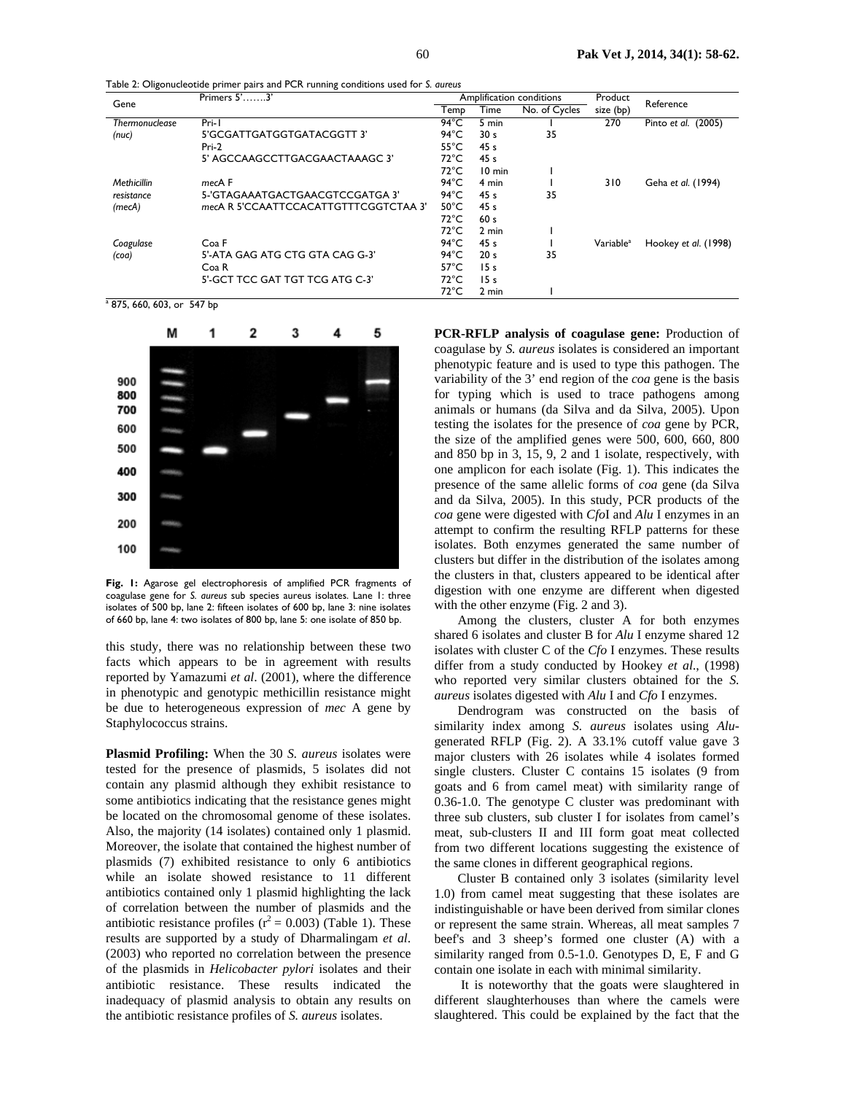Gene Primers 5'…….3' Amplification conditions Product Product Product Product Product Product Product Product Product Product Product Product Product Product Product Product Product Product Product Product Product Product **EXECUTE Amplification conditions** Product<br> **Temp Time No. of Cycles** size (bp) Reference *Thermonuclease (nuc)*  Pri-1 5'GCGATTGATGGTGATACGGTT 3' Pri-2 5' AGCCAAGCCTTGACGAACTAAAGC 3' 94°C 5 min 1 270 Pinto *et al*. (2005) 94 °C 30 s 35 55°C 45 s 72°C 45 s 72°C 10 min 1<br>94°C 4 min 1 *Methicillin resistance (mecA) mec*A F 5-'GTAGAAATGACTGAACGTCCGATGA 3' *mec*A R 5'CCAATTCCACATTGTTTCGGTCTAA 3' 94°C 4 min 1 310 Geha *et al*. (1994) 94 °C 45 s 35 50°C 45 s<br>72°C 60 s  $72^{\circ}$ C 72℃ 2 min 1<br>94℃ 45 s 1 *Coagulase (coa)*  Coa F 5'-ATA GAG ATG CTG GTA CAG G-3' Coa R 5'-GCT TCC GAT TGT TCG ATG C-3' 94 °C  $\overline{45}$  s 1 Variable<sup>a</sup><br>94 °C 20 s 35 Hookey *et al*. (1998)  $94^{\circ}$ C 20 s 57°C 15 s 72°C 15 s 72°C 2 min 1 a 875, 660, 603, or 547 bp

Table 2: Oligonucleotide primer pairs and PCR running conditions used for *S. aureus* 



**Fig. 1:** Agarose gel electrophoresis of amplified PCR fragments of coagulase gene for *S. aureus* sub species aureus isolates. Lane 1: three isolates of 500 bp, lane 2: fifteen isolates of 600 bp, lane 3: nine isolates of 660 bp, lane 4: two isolates of 800 bp, lane 5: one isolate of 850 bp.

this study, there was no relationship between these two facts which appears to be in agreement with results reported by Yamazumi *et al*. (2001), where the difference in phenotypic and genotypic methicillin resistance might be due to heterogeneous expression of *mec* A gene by Staphylococcus strains.

**Plasmid Profiling:** When the 30 *S. aureus* isolates were tested for the presence of plasmids, 5 isolates did not contain any plasmid although they exhibit resistance to some antibiotics indicating that the resistance genes might be located on the chromosomal genome of these isolates. Also, the majority (14 isolates) contained only 1 plasmid. Moreover, the isolate that contained the highest number of plasmids (7) exhibited resistance to only 6 antibiotics while an isolate showed resistance to 11 different antibiotics contained only 1 plasmid highlighting the lack of correlation between the number of plasmids and the antibiotic resistance profiles ( $r^2$  = 0.003) (Table 1). These results are supported by a study of Dharmalingam *et al*. (2003) who reported no correlation between the presence of the plasmids in *Helicobacter pylori* isolates and their antibiotic resistance. These results indicated the inadequacy of plasmid analysis to obtain any results on the antibiotic resistance profiles of *S. aureus* isolates.

**PCR-RFLP analysis of coagulase gene:** Production of coagulase by *S. aureus* isolates is considered an important phenotypic feature and is used to type this pathogen. The variability of the 3' end region of the *coa* gene is the basis for typing which is used to trace pathogens among animals or humans (da Silva and da Silva, 2005). Upon testing the isolates for the presence of *coa* gene by PCR, the size of the amplified genes were 500, 600, 660, 800 and 850 bp in 3, 15, 9, 2 and 1 isolate, respectively, with one amplicon for each isolate (Fig. 1). This indicates the presence of the same allelic forms of *coa* gene (da Silva and da Silva, 2005). In this study, PCR products of the *coa* gene were digested with *Cfo*I and *Alu* I enzymes in an attempt to confirm the resulting RFLP patterns for these isolates. Both enzymes generated the same number of clusters but differ in the distribution of the isolates among the clusters in that, clusters appeared to be identical after digestion with one enzyme are different when digested with the other enzyme (Fig. 2 and 3).

Among the clusters, cluster A for both enzymes shared 6 isolates and cluster B for *Alu* I enzyme shared 12 isolates with cluster C of the *Cfo* I enzymes. These results differ from a study conducted by Hookey *et al*., (1998) who reported very similar clusters obtained for the *S. aureus* isolates digested with *Alu* I and *Cfo* I enzymes.

Dendrogram was constructed on the basis of similarity index among *S. aureus* isolates using *Alu*generated RFLP (Fig. 2). A 33.1% cutoff value gave 3 major clusters with 26 isolates while 4 isolates formed single clusters. Cluster C contains 15 isolates (9 from goats and 6 from camel meat) with similarity range of 0.36-1.0. The genotype C cluster was predominant with three sub clusters, sub cluster I for isolates from camel's meat, sub-clusters II and III form goat meat collected from two different locations suggesting the existence of the same clones in different geographical regions.

Cluster B contained only 3 isolates (similarity level 1.0) from camel meat suggesting that these isolates are indistinguishable or have been derived from similar clones or represent the same strain. Whereas, all meat samples 7 beef's and 3 sheep's formed one cluster (A) with a similarity ranged from 0.5-1.0. Genotypes D, E, F and G contain one isolate in each with minimal similarity.

 It is noteworthy that the goats were slaughtered in different slaughterhouses than where the camels were slaughtered. This could be explained by the fact that the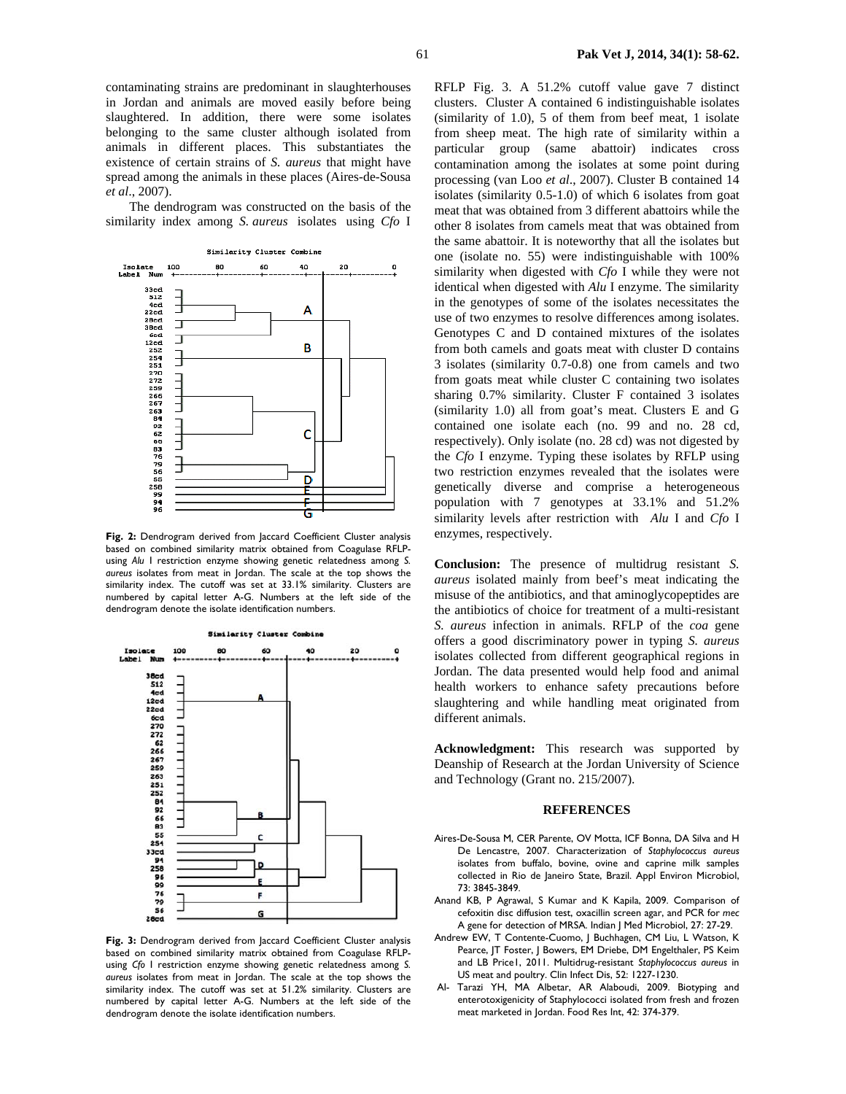contaminating strains are predominant in slaughterhouses in Jordan and animals are moved easily before being slaughtered. In addition, there were some isolates belonging to the same cluster although isolated from animals in different places. This substantiates the existence of certain strains of *S. aureus* that might have spread among the animals in these places (Aires-de-Sousa *et al*., 2007).

The dendrogram was constructed on the basis of the similarity index among *S. aureus* isolates using *Cfo* I



Fig. 2: Dendrogram derived from laccard Coefficient Cluster analysis based on combined similarity matrix obtained from Coagulase RFLPusing *Alu* I restriction enzyme showing genetic relatedness among *S. aureus* isolates from meat in Jordan. The scale at the top shows the similarity index. The cutoff was set at 33.1% similarity. Clusters are numbered by capital letter A-G. Numbers at the left side of the dendrogram denote the isolate identification numbers.



**Fig. 3:** Dendrogram derived from Jaccard Coefficient Cluster analysis based on combined similarity matrix obtained from Coagulase RFLPusing *Cfo* I restriction enzyme showing genetic relatedness among *S. aureus* isolates from meat in Jordan. The scale at the top shows the similarity index. The cutoff was set at 51.2% similarity. Clusters are numbered by capital letter A-G. Numbers at the left side of the dendrogram denote the isolate identification numbers.

RFLP Fig. 3. A 51.2% cutoff value gave 7 distinct clusters. Cluster A contained 6 indistinguishable isolates (similarity of 1.0), 5 of them from beef meat, 1 isolate from sheep meat. The high rate of similarity within a particular group (same abattoir) indicates cross contamination among the isolates at some point during processing (van Loo *et al*., 2007). Cluster B contained 14 isolates (similarity 0.5-1.0) of which 6 isolates from goat meat that was obtained from 3 different abattoirs while the other 8 isolates from camels meat that was obtained from the same abattoir. It is noteworthy that all the isolates but one (isolate no. 55) were indistinguishable with 100% similarity when digested with *Cfo* I while they were not identical when digested with *Alu* I enzyme. The similarity in the genotypes of some of the isolates necessitates the use of two enzymes to resolve differences among isolates. Genotypes C and D contained mixtures of the isolates from both camels and goats meat with cluster D contains 3 isolates (similarity 0.7-0.8) one from camels and two from goats meat while cluster C containing two isolates sharing 0.7% similarity. Cluster F contained 3 isolates (similarity 1.0) all from goat's meat. Clusters E and G contained one isolate each (no. 99 and no. 28 cd, respectively). Only isolate (no. 28 cd) was not digested by the *Cfo* I enzyme. Typing these isolates by RFLP using two restriction enzymes revealed that the isolates were genetically diverse and comprise a heterogeneous population with 7 genotypes at 33.1% and 51.2% similarity levels after restriction with *Alu* I and *Cfo* I enzymes, respectively.

**Conclusion:** The presence of multidrug resistant *S. aureus* isolated mainly from beef's meat indicating the misuse of the antibiotics, and that aminoglycopeptides are the antibiotics of choice for treatment of a multi-resistant *S. aureus* infection in animals. RFLP of the *coa* gene offers a good discriminatory power in typing *S. aureus* isolates collected from different geographical regions in Jordan. The data presented would help food and animal health workers to enhance safety precautions before slaughtering and while handling meat originated from different animals.

**Acknowledgment:** This research was supported by Deanship of Research at the Jordan University of Science and Technology (Grant no. 215/2007).

#### **REFERENCES**

- Aires-De-Sousa M, CER Parente, OV Motta, ICF Bonna, DA Silva and H De Lencastre, 2007. Characterization of *Staphylococcus aureus* isolates from buffalo, bovine, ovine and caprine milk samples collected in Rio de Janeiro State, Brazil. Appl Environ Microbiol, 73: 3845-3849.
- Anand KB, P Agrawal, S Kumar and K Kapila, 2009. Comparison of cefoxitin disc diffusion test, oxacillin screen agar, and PCR for *mec* A gene for detection of MRSA. Indian J Med Microbiol, 27: 27-29.
- Andrew EW, T Contente-Cuomo, | Buchhagen, CM Liu, L Watson, K Pearce, JT Foster, J Bowers, EM Driebe, DM Engelthaler, PS Keim and LB Price1, 2011. Multidrug-resistant *Staphylococcus aureus* in US meat and poultry. Clin Infect Dis, 52: 1227-1230.
- Al- Tarazi YH, MA Albetar, AR Alaboudi, 2009. Biotyping and enterotoxigenicity of Staphylococci isolated from fresh and frozen meat marketed in Jordan. Food Res Int, 42: 374-379.